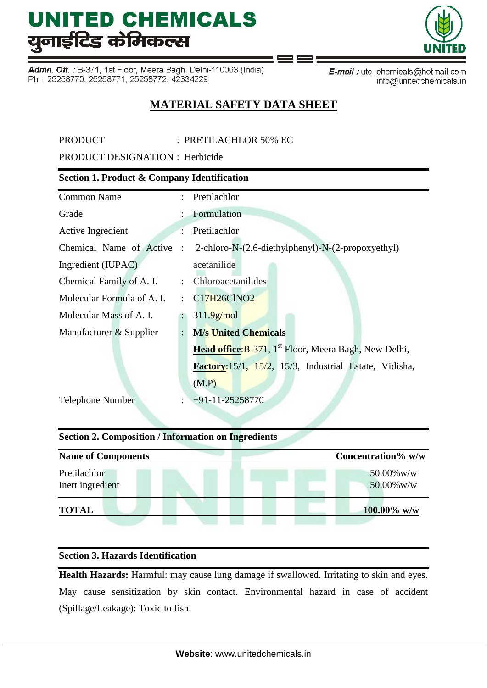Admn. Off. : B-371, 1st Floor, Meera Bagh, Delhi-110063 (India) Ph.: 25258770, 25258771, 25258772, 42334229

E-mail: utc\_chemicals@hotmail.com info@unitedchemicals.in

## **MATERIAL SAFETY DATA SHEET**

PRODUCT : PRETILACHLOR 50% EC

PRODUCT DESIGNATION : Herbicide

## **Section 1. Product & Company Identification**

| <b>Common Name</b>         |                | : Pretilachlor                                                    |
|----------------------------|----------------|-------------------------------------------------------------------|
| Grade                      |                | Formulation                                                       |
| Active Ingredient          |                | Pretilachlor                                                      |
| Chemical Name of Active    | $\ddot{\cdot}$ | 2-chloro-N-(2,6-diethylphenyl)-N-(2-propoxyethyl)                 |
| Ingredient (IUPAC)         |                | acetanilide                                                       |
| Chemical Family of A. I.   |                | : Chloroacetanilides                                              |
| Molecular Formula of A. I. | $\mathcal{L}$  | C17H26ClNO2                                                       |
| Molecular Mass of A. I.    |                | 311.9 <sub>g/mol</sub>                                            |
| Manufacturer & Supplier    | $\ddot{\cdot}$ | <b>M/s United Chemicals</b>                                       |
|                            |                | Head office: B-371, 1 <sup>st</sup> Floor, Meera Bagh, New Delhi, |
|                            |                | Factory: 15/1, 15/2, 15/3, Industrial Estate, Vidisha,            |
|                            |                | (M.P)                                                             |
| <b>Telephone Number</b>    |                | $+91-11-25258770$                                                 |
|                            |                |                                                                   |

## **Section 2. Composition / Information on Ingredients**

| <b>Name of Components</b>        | Concentration% w/w          |
|----------------------------------|-----------------------------|
| Pretilachlor<br>Inert ingredient | $50.00\%$ w/w<br>50.00% w/w |
| <b>TOTAL</b>                     | $100.00\%$ w/w              |

## **Section 3. Hazards Identification**

**Health Hazards:** Harmful: may cause lung damage if swallowed. Irritating to skin and eyes. May cause sensitization by skin contact. Environmental hazard in case of accident (Spillage/Leakage): Toxic to fish.

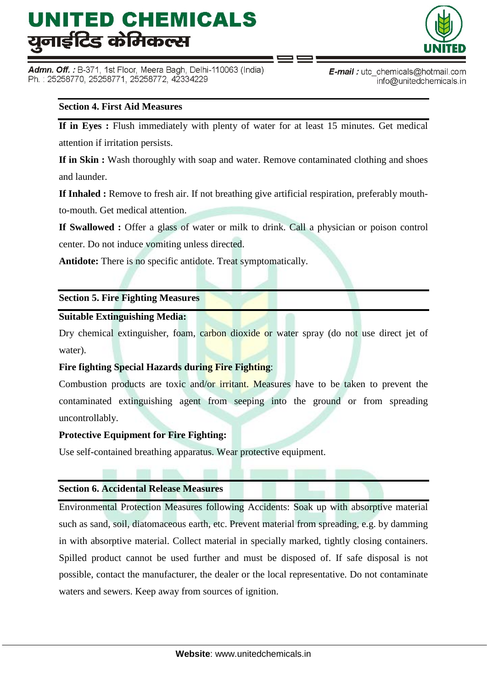Admn. Off. : B-371, 1st Floor, Meera Bagh, Delhi-110063 (India) Ph.: 25258770, 25258771, 25258772, 42334229



**E-mail**: utc chemicals@hotmail.com info@unitedchemicals.in

## **Section 4. First Aid Measures**

**If in Eyes :** Flush immediately with plenty of water for at least 15 minutes. Get medical attention if irritation persists.

**If in Skin :** Wash thoroughly with soap and water. Remove contaminated clothing and shoes and launder.

**If Inhaled :** Remove to fresh air. If not breathing give artificial respiration, preferably mouth-

to-mouth. Get medical attention.

**If Swallowed :** Offer a glass of water or milk to drink. Call a physician or poison control center. Do not induce vomiting unless directed.

**Antidote:** There is no specific antidote. Treat symptomatically.

## **Section 5. Fire Fighting Measures**

#### **Suitable Extinguishing Media:**

Dry chemical extinguisher, foam, carbon dioxide or water spray (do not use direct jet of water).

#### **Fire fighting Special Hazards during Fire Fighting**:

Combustion products are toxic and/or irritant. Measures have to be taken to prevent the contaminated extinguishing agent from seeping into the ground or from spreading uncontrollably.

#### **Protective Equipment for Fire Fighting:**

Use self-contained breathing apparatus. Wear protective equipment.

#### **Section 6. Accidental Release Measures**

Environmental Protection Measures following Accidents: Soak up with absorptive material such as sand, soil, diatomaceous earth, etc. Prevent material from spreading, e.g. by damming in with absorptive material. Collect material in specially marked, tightly closing containers. Spilled product cannot be used further and must be disposed of. If safe disposal is not possible, contact the manufacturer, the dealer or the local representative. Do not contaminate waters and sewers. Keep away from sources of ignition.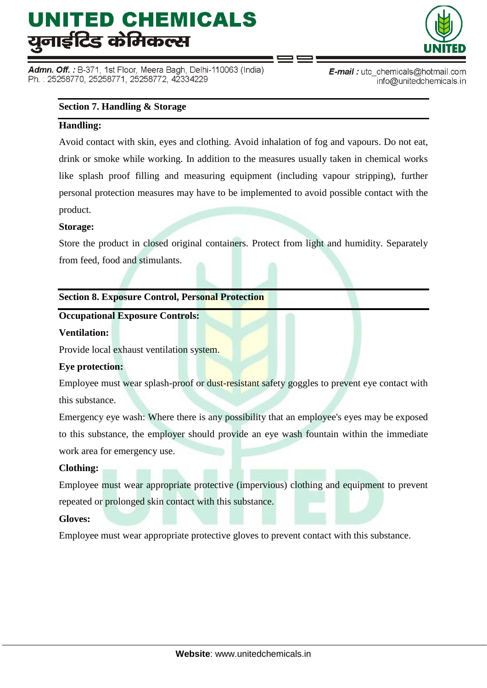Admn. Off. : B-371, 1st Floor, Meera Bagh, Delhi-110063 (India) Ph.: 25258770, 25258771, 25258772, 42334229



E-mail: utc\_chemicals@hotmail.com info@unitedchemicals.in

#### **Section 7. Handling & Storage**

## **Handling:**

Avoid contact with skin, eyes and clothing. Avoid inhalation of fog and vapours. Do not eat, drink or smoke while working. In addition to the measures usually taken in chemical works like splash proof filling and measuring equipment (including vapour stripping), further personal protection measures may have to be implemented to avoid possible contact with the product.

## **Storage:**

Store the product in closed original containers. Protect from light and humidity. Separately from feed, food and stimulants.

## **Section 8. Exposure Control, Personal Protection**

## **Occupational Exposure Controls:**

## **Ventilation:**

Provide local exhaust ventilation system.

#### **Eye protection:**

Employee must wear splash-proof or dust-resistant safety goggles to prevent eye contact with this substance.

Emergency eye wash: Where there is any possibility that an employee's eyes may be exposed to this substance, the employer should provide an eye wash fountain within the immediate work area for emergency use.

## **Clothing:**

Employee must wear appropriate protective (impervious) clothing and equipment to prevent repeated or prolonged skin contact with this substance.

#### **Gloves:**

Employee must wear appropriate protective gloves to prevent contact with this substance.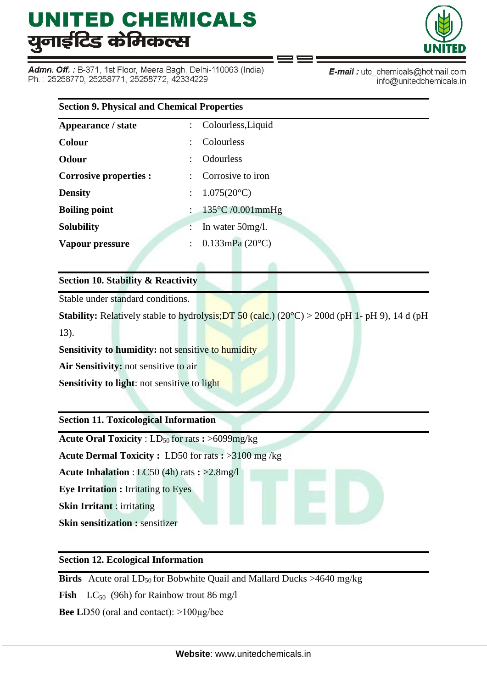Admn. Off. : B-371, 1st Floor, Meera Bagh, Delhi-110063 (India) Ph.: 25258770, 25258771, 25258772, 42334229



E-mail: utc\_chemicals@hotmail.com info@unitedchemicals.in

| <b>Section 9. Physical and Chemical Properties</b> |                           |                             |  |  |
|----------------------------------------------------|---------------------------|-----------------------------|--|--|
| Appearance / state                                 | $\mathbb{R}^{\mathbb{Z}}$ | Colourless, Liquid          |  |  |
| Colour                                             |                           | Colourless                  |  |  |
| <b>Odour</b>                                       |                           | <b>Odourless</b>            |  |  |
| Corrosive properties :                             |                           | Corrosive to iron           |  |  |
| <b>Density</b>                                     | ÷                         | $1.075(20^{\circ}C)$        |  |  |
| <b>Boiling point</b>                               |                           | $135^{\circ}$ C /0.001mmHg  |  |  |
| <b>Solubility</b>                                  |                           | In water $50$ mg/l.         |  |  |
| Vapour pressure                                    |                           | $0.133$ mPa $(20^{\circ}C)$ |  |  |
|                                                    |                           |                             |  |  |

## **Section 10. Stability & Reactivity**

Stable under standard conditions.

**Stability:** Relatively stable to hydrolysis; DT 50 (calc.)  $(20^{\circ}C) > 200d$  (pH 1- pH 9), 14 d (pH 13).

**Sensitivity to humidity:** not sensitive to humidity

**Air Sensitivity:** not sensitive to air

**Sensitivity to light**: not sensitive to light

## **Section 11. Toxicological Information**

**Acute Oral Toxicity** : LD<sub>50</sub> for rats **:** >6099mg/kg

**Acute Dermal Toxicity :** LD50 for rats **:** >3100 mg /kg

**Acute Inhalation** : LC50 (4h) rats **:** >2.8mg/l

**Eye Irritation :** Irritating to Eyes

**Skin Irritant** : irritating

**Skin sensitization :** sensitizer

## **Section 12. Ecological Information**

**Birds** Acute oral  $LD_{50}$  for Bobwhite Quail and Mallard Ducks >4640 mg/kg

**Fish**  $LC_{50}$  (96h) for Rainbow trout 86 mg/l

**Bee L**D50 (oral and contact): >100μg/bee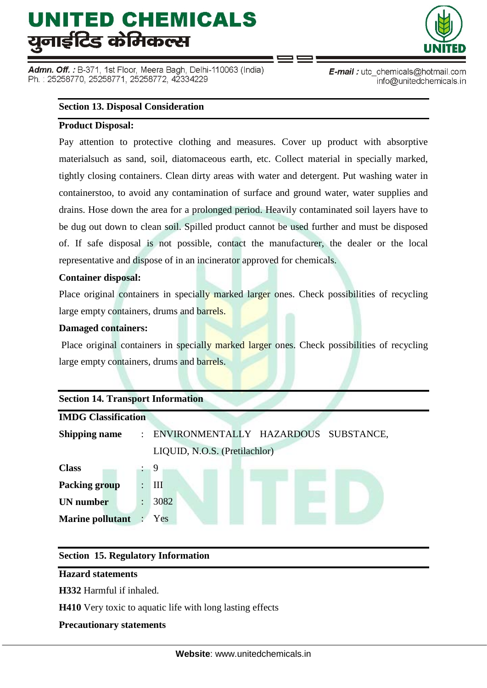Admn. Off. : B-371, 1st Floor, Meera Bagh, Delhi-110063 (India) Ph.: 25258770, 25258771, 25258772, 42334229



E-mail: utc\_chemicals@hotmail.com info@unitedchemicals.in

#### **Section 13. Disposal Consideration**

## **Product Disposal:**

Pay attention to protective clothing and measures. Cover up product with absorptive materialsuch as sand, soil, diatomaceous earth, etc. Collect material in specially marked, tightly closing containers. Clean dirty areas with water and detergent. Put washing water in containerstoo, to avoid any contamination of surface and ground water, water supplies and drains. Hose down the area for a prolonged period. Heavily contaminated soil layers have to be dug out down to clean soil. Spilled product cannot be used further and must be disposed of. If safe disposal is not possible, contact the manufacturer, the dealer or the local representative and dispose of in an incinerator approved for chemicals.

## **Container disposal:**

Place original containers in specially marked larger ones. Check possibilities of recycling large empty containers, drums and barrels.

## **Damaged containers:**

Place original containers in specially marked larger ones. Check possibilities of recycling large empty containers, drums and barrels.

| <b>Section 14. Transport Information</b> |                      |                                        |  |  |  |  |
|------------------------------------------|----------------------|----------------------------------------|--|--|--|--|
| <b>IMDG Classification</b>               |                      |                                        |  |  |  |  |
| <b>Shipping name</b>                     |                      | : ENVIRONMENTALLY HAZARDOUS SUBSTANCE, |  |  |  |  |
|                                          |                      | LIQUID, N.O.S. (Pretilachlor)          |  |  |  |  |
| <b>Class</b>                             |                      | -9                                     |  |  |  |  |
| <b>Packing group</b>                     | $\ddot{\phantom{a}}$ | III                                    |  |  |  |  |
| <b>UN</b> number                         | $\ddot{\phantom{0}}$ | 3082                                   |  |  |  |  |
| <b>Marine pollutant</b>                  |                      | Yes                                    |  |  |  |  |
|                                          |                      |                                        |  |  |  |  |

## **Section 15. Regulatory Information**

#### **Hazard statements**

**H332** Harmful if inhaled.

**H410** Very toxic to aquatic life with long lasting effects

## **Precautionary statements**